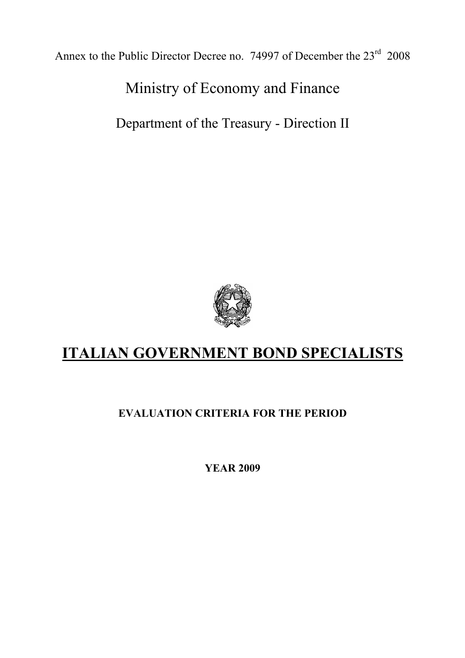Annex to the Public Director Decree no. 74997 of December the 23<sup>rd</sup> 2008

Ministry of Economy and Finance

Department of the Treasury - Direction II



# **ITALIAN GOVERNMENT BOND SPECIALISTS**

### **EVALUATION CRITERIA FOR THE PERIOD**

**YEAR 2009**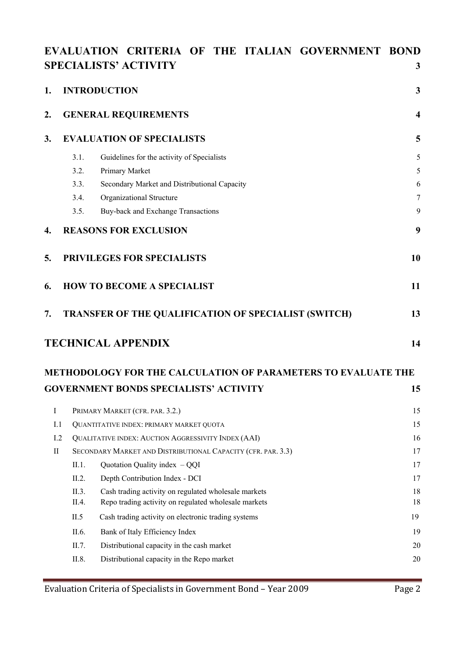### **EVALUATION CRITERIA OF THE ITALIAN GOVERNMENT BOND SPECIALISTS' ACTIVITY 3**

| 1.                     | <b>INTRODUCTION</b>                               |                                                                                                                                                                                                                                                                                       |                                  |  |  |  |
|------------------------|---------------------------------------------------|---------------------------------------------------------------------------------------------------------------------------------------------------------------------------------------------------------------------------------------------------------------------------------------|----------------------------------|--|--|--|
| 2.                     |                                                   | <b>GENERAL REQUIREMENTS</b>                                                                                                                                                                                                                                                           | $\overline{\mathbf{4}}$          |  |  |  |
| 3.                     | <b>EVALUATION OF SPECIALISTS</b>                  |                                                                                                                                                                                                                                                                                       |                                  |  |  |  |
|                        | 3.1.<br>3.2.<br>3.3.<br>3.4.<br>3.5.              | Guidelines for the activity of Specialists<br>Primary Market<br>Secondary Market and Distributional Capacity<br>Organizational Structure<br>Buy-back and Exchange Transactions                                                                                                        | 5<br>5<br>6<br>$\tau$<br>9       |  |  |  |
| 4.                     |                                                   | <b>REASONS FOR EXCLUSION</b>                                                                                                                                                                                                                                                          | 9                                |  |  |  |
| 5.                     |                                                   | PRIVILEGES FOR SPECIALISTS                                                                                                                                                                                                                                                            | 10                               |  |  |  |
| 6.                     |                                                   | <b>HOW TO BECOME A SPECIALIST</b>                                                                                                                                                                                                                                                     | 11                               |  |  |  |
| 7.                     |                                                   | <b>TRANSFER OF THE QUALIFICATION OF SPECIALIST (SWITCH)</b>                                                                                                                                                                                                                           | 13                               |  |  |  |
|                        |                                                   | <b>TECHNICAL APPENDIX</b>                                                                                                                                                                                                                                                             | 14                               |  |  |  |
|                        |                                                   | METHODOLOGY FOR THE CALCULATION OF PARAMETERS TO EVALUATE THE                                                                                                                                                                                                                         |                                  |  |  |  |
|                        |                                                   | <b>GOVERNMENT BONDS SPECIALISTS' ACTIVITY</b>                                                                                                                                                                                                                                         | 15                               |  |  |  |
| $\bf{I}$<br>I.1<br>1.2 |                                                   | PRIMARY MARKET (CFR. PAR. 3.2.)<br>QUANTITATIVE INDEX: PRIMARY MARKET QUOTA<br>QUALITATIVE INDEX: AUCTION AGGRESSIVITY INDEX (AAI)                                                                                                                                                    | 15<br>15<br>16                   |  |  |  |
| $\mathbf{I}$           | II.1.                                             | SECONDARY MARKET AND DISTRIBUTIONAL CAPACITY (CFR. PAR. 3.3)<br>Quotation Quality index $-QQI$                                                                                                                                                                                        | 17<br>17                         |  |  |  |
|                        | II.2.<br>II.3.<br>II.4.<br>II.5<br>II.6.<br>II.7. | Depth Contribution Index - DCI<br>Cash trading activity on regulated wholesale markets<br>Repo trading activity on regulated wholesale markets<br>Cash trading activity on electronic trading systems<br>Bank of Italy Efficiency Index<br>Distributional capacity in the cash market | 17<br>18<br>18<br>19<br>19<br>20 |  |  |  |
|                        | II.8.                                             | Distributional capacity in the Repo market                                                                                                                                                                                                                                            | 20                               |  |  |  |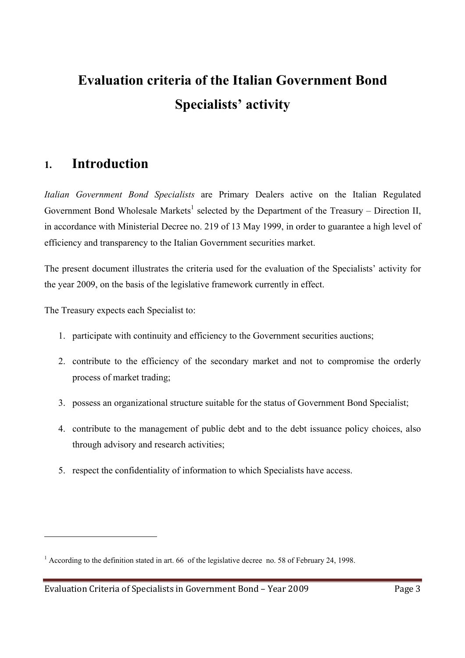# **Evaluation criteria of the Italian Government Bond Specialists' activity**

### **1. Introduction**

*Italian Government Bond Specialists* are Primary Dealers active on the Italian Regulated Government Bond Wholesale Markets<sup>1</sup> selected by the Department of the Treasury – Direction II, in accordance with Ministerial Decree no. 219 of 13 May 1999, in order to guarantee a high level of efficiency and transparency to the Italian Government securities market.

The present document illustrates the criteria used for the evaluation of the Specialists' activity for the year 2009, on the basis of the legislative framework currently in effect.

The Treasury expects each Specialist to:

- 1. participate with continuity and efficiency to the Government securities auctions;
- 2. contribute to the efficiency of the secondary market and not to compromise the orderly process of market trading;
- 3. possess an organizational structure suitable for the status of Government Bond Specialist;
- 4. contribute to the management of public debt and to the debt issuance policy choices, also through advisory and research activities;
- 5. respect the confidentiality of information to which Specialists have access.

<sup>&</sup>lt;sup>1</sup> According to the definition stated in art. 66 of the legislative decree no. 58 of February 24, 1998.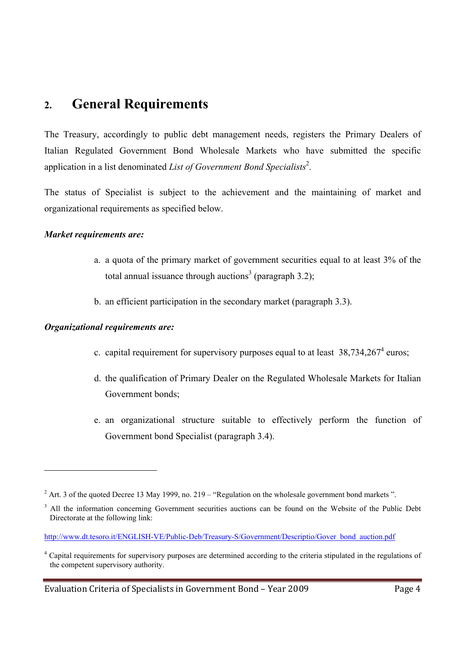### **2. General Requirements**

The Treasury, accordingly to public debt management needs, registers the Primary Dealers of Italian Regulated Government Bond Wholesale Markets who have submitted the specific application in a list denominated *List of Government Bond Specialists*<sup>2</sup> .

The status of Specialist is subject to the achievement and the maintaining of market and organizational requirements as specified below.

#### *Market requirements are:*

- a. a quota of the primary market of government securities equal to at least 3% of the total annual issuance through auctions<sup>3</sup> (paragraph 3.2);
- b. an efficient participation in the secondary market (paragraph 3.3).

#### *Organizational requirements are:*

- c. capital requirement for supervisory purposes equal to at least  $38,734,267^4$  euros;
- d. the qualification of Primary Dealer on the Regulated Wholesale Markets for Italian Government bonds;
- e. an organizational structure suitable to effectively perform the function of Government bond Specialist (paragraph 3.4).

 $2^2$  Art. 3 of the quoted Decree 13 May 1999, no. 219 – "Regulation on the wholesale government bond markets".

<sup>&</sup>lt;sup>3</sup> All the information concerning Government securities auctions can be found on the Website of the Public Debt Directorate at the following link:

http://www.dt.tesoro.it/ENGLISH-VE/Public-Deb/Treasury-S/Government/Descriptio/Gover\_bond\_auction.pdf

<sup>&</sup>lt;sup>4</sup> Capital requirements for supervisory purposes are determined according to the criteria stipulated in the regulations of the competent supervisory authority.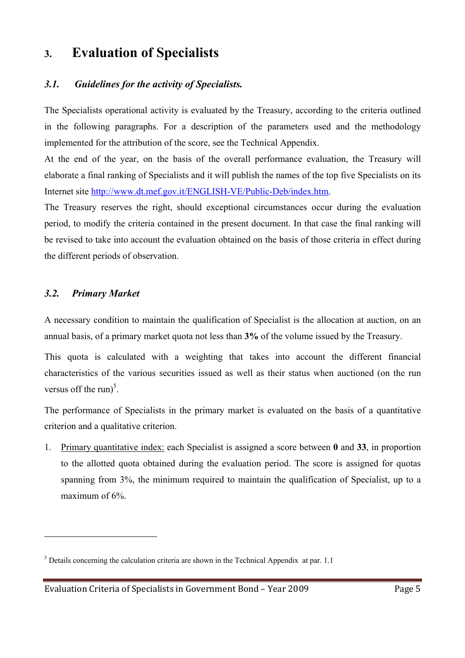## **3. Evaluation of Specialists**

### *3.1. Guidelines for the activity of Specialists.*

The Specialists operational activity is evaluated by the Treasury, according to the criteria outlined in the following paragraphs. For a description of the parameters used and the methodology implemented for the attribution of the score, see the Technical Appendix.

At the end of the year, on the basis of the overall performance evaluation, the Treasury will elaborate a final ranking of Specialists and it will publish the names of the top five Specialists on its Internet site http://www.dt.mef.gov.it/ENGLISH-VE/Public-Deb/index.htm.

The Treasury reserves the right, should exceptional circumstances occur during the evaluation period, to modify the criteria contained in the present document. In that case the final ranking will be revised to take into account the evaluation obtained on the basis of those criteria in effect during the different periods of observation.

#### *3.2. Primary Market*

 $\overline{a}$ 

A necessary condition to maintain the qualification of Specialist is the allocation at auction, on an annual basis, of a primary market quota not less than **3%** of the volume issued by the Treasury.

This quota is calculated with a weighting that takes into account the different financial characteristics of the various securities issued as well as their status when auctioned (on the run versus off the run)<sup>5</sup>.

The performance of Specialists in the primary market is evaluated on the basis of a quantitative criterion and a qualitative criterion.

1. Primary quantitative index: each Specialist is assigned a score between **0** and **33**, in proportion to the allotted quota obtained during the evaluation period. The score is assigned for quotas spanning from 3%, the minimum required to maintain the qualification of Specialist, up to a maximum of 6%.

 $<sup>5</sup>$  Details concerning the calculation criteria are shown in the Technical Appendix at par. 1.1</sup>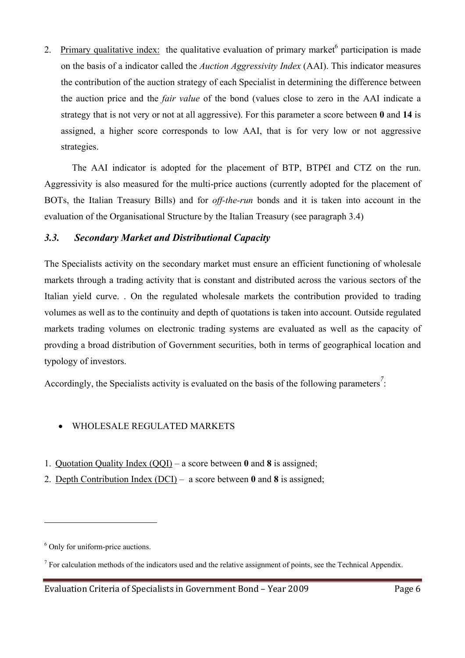2. Primary qualitative index: the qualitative evaluation of primary market participation is made on the basis of a indicator called the *Auction Aggressivity Index* (AAI). This indicator measures the contribution of the auction strategy of each Specialist in determining the difference between the auction price and the *fair value* of the bond (values close to zero in the AAI indicate a strategy that is not very or not at all aggressive). For this parameter a score between **0** and **14** is assigned, a higher score corresponds to low AAI, that is for very low or not aggressive strategies.

 The AAI indicator is adopted for the placement of BTP, BTP€I and CTZ on the run. Aggressivity is also measured for the multi-price auctions (currently adopted for the placement of BOTs, the Italian Treasury Bills) and for *off-the-run* bonds and it is taken into account in the evaluation of the Organisational Structure by the Italian Treasury (see paragraph 3.4)

### *3.3. Secondary Market and Distributional Capacity*

The Specialists activity on the secondary market must ensure an efficient functioning of wholesale markets through a trading activity that is constant and distributed across the various sectors of the Italian yield curve. . On the regulated wholesale markets the contribution provided to trading volumes as well as to the continuity and depth of quotations is taken into account. Outside regulated markets trading volumes on electronic trading systems are evaluated as well as the capacity of provding a broad distribution of Government securities, both in terms of geographical location and typology of investors.

Accordingly, the Specialists activity is evaluated on the basis of the following parameters<sup>7</sup>:

### • WHOLESALE REGULATED MARKETS

- 1. Quotation Quality Index (QQI) a score between **0** and **8** is assigned;
- 2. Depth Contribution Index (DCI) a score between **0** and **8** is assigned;

<sup>6</sup> Only for uniform-price auctions.

 $<sup>7</sup>$  For calculation methods of the indicators used and the relative assignment of points, see the Technical Appendix.</sup>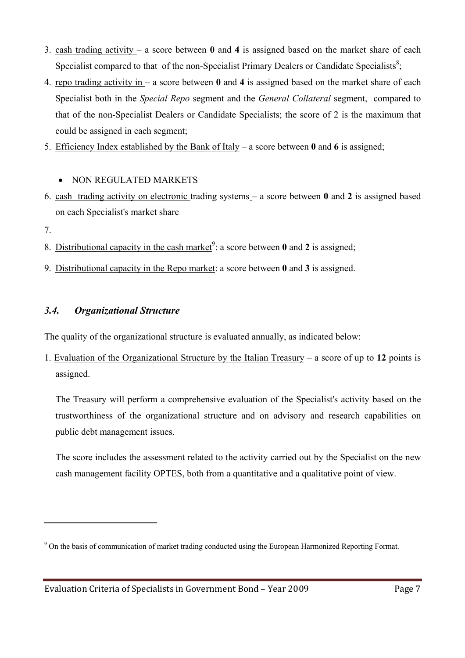- 3. cash trading activity a score between **0** and **4** is assigned based on the market share of each Specialist compared to that of the non-Specialist Primary Dealers or Candidate Specialists<sup>8</sup>;
- 4. repo trading activity in a score between **0** and **4** is assigned based on the market share of each Specialist both in the *Special Repo* segment and the *General Collateral* segment, compared to that of the non-Specialist Dealers or Candidate Specialists; the score of 2 is the maximum that could be assigned in each segment;
- 5. Efficiency Index established by the Bank of Italy a score between **0** and **6** is assigned;
	- NON REGULATED MARKETS
- 6. cash trading activity on electronic trading systems a score between **0** and **2** is assigned based on each Specialist's market share
- 7.

 $\overline{a}$ 

- 8. Distributional capacity in the cash market<sup>9</sup>: a score between  $\theta$  and  $\theta$  is assigned;
- 9. Distributional capacity in the Repo market: a score between **0** and **3** is assigned.

### *3.4. Organizational Structure*

The quality of the organizational structure is evaluated annually, as indicated below:

1. Evaluation of the Organizational Structure by the Italian Treasury *–* a score of up to **12** points is assigned.

The Treasury will perform a comprehensive evaluation of the Specialist's activity based on the trustworthiness of the organizational structure and on advisory and research capabilities on public debt management issues.

The score includes the assessment related to the activity carried out by the Specialist on the new cash management facility OPTES, both from a quantitative and a qualitative point of view.

<sup>&</sup>lt;sup>9</sup> On the basis of communication of market trading conducted using the European Harmonized Reporting Format.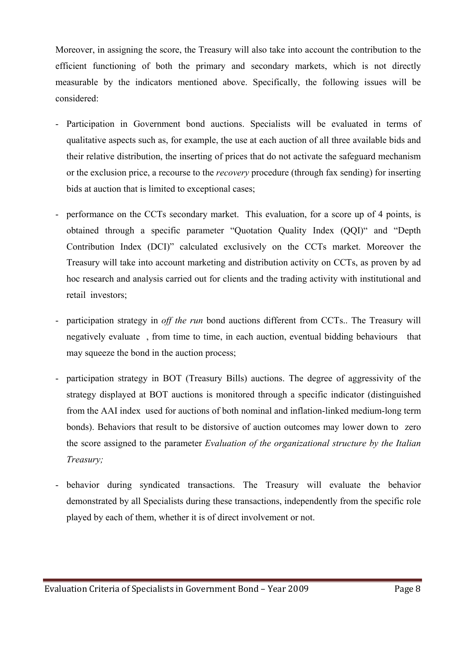Moreover, in assigning the score, the Treasury will also take into account the contribution to the efficient functioning of both the primary and secondary markets, which is not directly measurable by the indicators mentioned above. Specifically, the following issues will be considered:

- Participation in Government bond auctions. Specialists will be evaluated in terms of qualitative aspects such as, for example, the use at each auction of all three available bids and their relative distribution, the inserting of prices that do not activate the safeguard mechanism or the exclusion price, a recourse to the *recovery* procedure (through fax sending) for inserting bids at auction that is limited to exceptional cases;
- performance on the CCTs secondary market. This evaluation, for a score up of 4 points, is obtained through a specific parameter "Quotation Quality Index (QQI)" and "Depth Contribution Index (DCI)" calculated exclusively on the CCTs market. Moreover the Treasury will take into account marketing and distribution activity on CCTs, as proven by ad hoc research and analysis carried out for clients and the trading activity with institutional and retail investors;
- participation strategy in *off the run* bond auctions different from CCTs.. The Treasury will negatively evaluate , from time to time, in each auction, eventual bidding behaviours that may squeeze the bond in the auction process;
- participation strategy in BOT (Treasury Bills) auctions. The degree of aggressivity of the strategy displayed at BOT auctions is monitored through a specific indicator (distinguished from the AAI index used for auctions of both nominal and inflation-linked medium-long term bonds). Behaviors that result to be distorsive of auction outcomes may lower down to zero the score assigned to the parameter *Evaluation of the organizational structure by the Italian Treasury;*
- behavior during syndicated transactions. The Treasury will evaluate the behavior demonstrated by all Specialists during these transactions, independently from the specific role played by each of them, whether it is of direct involvement or not.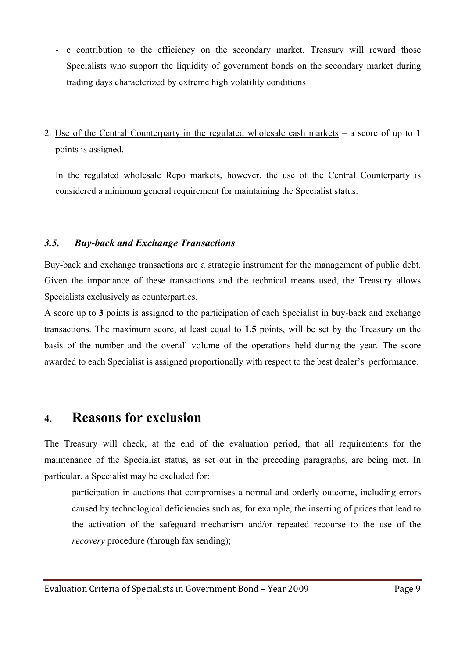- e contribution to the efficiency on the secondary market. Treasury will reward those Specialists who support the liquidity of government bonds on the secondary market during trading days characterized by extreme high volatility conditions
- 2. Use of the Central Counterparty in the regulated wholesale cash markets *–* a score of up to **1** points is assigned.

In the regulated wholesale Repo markets, however, the use of the Central Counterparty is considered a minimum general requirement for maintaining the Specialist status.

### *3.5. Buy-back and Exchange Transactions*

Buy-back and exchange transactions are a strategic instrument for the management of public debt. Given the importance of these transactions and the technical means used, the Treasury allows Specialists exclusively as counterparties.

A score up to **3** points is assigned to the participation of each Specialist in buy-back and exchange transactions. The maximum score, at least equal to **1.5** points, will be set by the Treasury on the basis of the number and the overall volume of the operations held during the year. The score awarded to each Specialist is assigned proportionally with respect to the best dealer's performance.

### **4. Reasons for exclusion**

The Treasury will check, at the end of the evaluation period, that all requirements for the maintenance of the Specialist status, as set out in the preceding paragraphs, are being met. In particular, a Specialist may be excluded for:

- participation in auctions that compromises a normal and orderly outcome, including errors caused by technological deficiencies such as, for example, the inserting of prices that lead to the activation of the safeguard mechanism and/or repeated recourse to the use of the *recovery* procedure (through fax sending);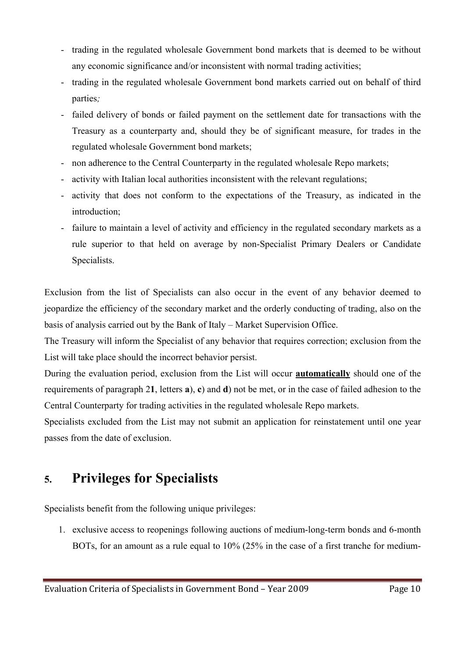- trading in the regulated wholesale Government bond markets that is deemed to be without any economic significance and/or inconsistent with normal trading activities;
- trading in the regulated wholesale Government bond markets carried out on behalf of third parties*;*
- failed delivery of bonds or failed payment on the settlement date for transactions with the Treasury as a counterparty and, should they be of significant measure, for trades in the regulated wholesale Government bond markets;
- non adherence to the Central Counterparty in the regulated wholesale Repo markets;
- activity with Italian local authorities inconsistent with the relevant regulations;
- activity that does not conform to the expectations of the Treasury, as indicated in the introduction;
- failure to maintain a level of activity and efficiency in the regulated secondary markets as a rule superior to that held on average by non-Specialist Primary Dealers or Candidate Specialists.

Exclusion from the list of Specialists can also occur in the event of any behavior deemed to jeopardize the efficiency of the secondary market and the orderly conducting of trading, also on the basis of analysis carried out by the Bank of Italy – Market Supervision Office.

The Treasury will inform the Specialist of any behavior that requires correction; exclusion from the List will take place should the incorrect behavior persist.

During the evaluation period, exclusion from the List will occur **automatically** should one of the requirements of paragraph 2**1**, letters **a**), **c**) and **d**) not be met, or in the case of failed adhesion to the Central Counterparty for trading activities in the regulated wholesale Repo markets.

Specialists excluded from the List may not submit an application for reinstatement until one year passes from the date of exclusion.

## **5. Privileges for Specialists**

Specialists benefit from the following unique privileges:

1. exclusive access to reopenings following auctions of medium-long-term bonds and 6-month BOTs, for an amount as a rule equal to 10% (25% in the case of a first tranche for medium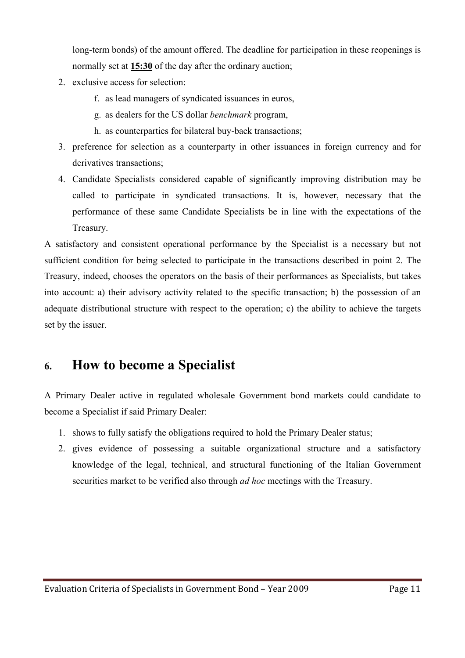long-term bonds) of the amount offered. The deadline for participation in these reopenings is normally set at **15:30** of the day after the ordinary auction;

- 2. exclusive access for selection:
	- f. as lead managers of syndicated issuances in euros,
	- g. as dealers for the US dollar *benchmark* program,
	- h. as counterparties for bilateral buy-back transactions;
- 3. preference for selection as a counterparty in other issuances in foreign currency and for derivatives transactions;
- 4. Candidate Specialists considered capable of significantly improving distribution may be called to participate in syndicated transactions. It is, however, necessary that the performance of these same Candidate Specialists be in line with the expectations of the Treasury.

A satisfactory and consistent operational performance by the Specialist is a necessary but not sufficient condition for being selected to participate in the transactions described in point 2. The Treasury, indeed, chooses the operators on the basis of their performances as Specialists, but takes into account: a) their advisory activity related to the specific transaction; b) the possession of an adequate distributional structure with respect to the operation; c) the ability to achieve the targets set by the issuer.

## **6. How to become a Specialist**

A Primary Dealer active in regulated wholesale Government bond markets could candidate to become a Specialist if said Primary Dealer:

- 1. shows to fully satisfy the obligations required to hold the Primary Dealer status;
- 2. gives evidence of possessing a suitable organizational structure and a satisfactory knowledge of the legal, technical, and structural functioning of the Italian Government securities market to be verified also through *ad hoc* meetings with the Treasury.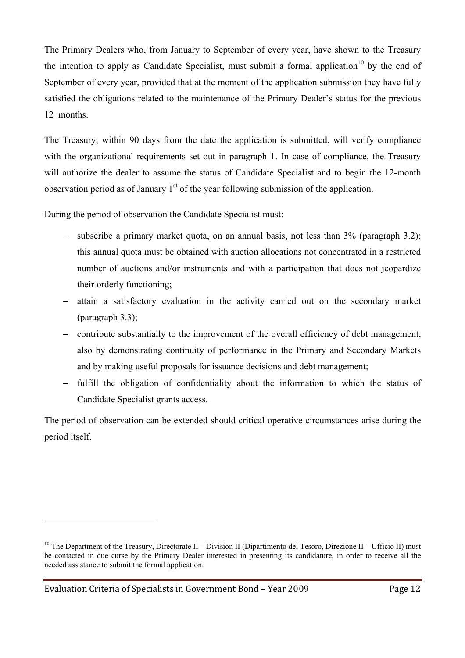The Primary Dealers who, from January to September of every year, have shown to the Treasury the intention to apply as Candidate Specialist, must submit a formal application<sup>10</sup> by the end of September of every year, provided that at the moment of the application submission they have fully satisfied the obligations related to the maintenance of the Primary Dealer's status for the previous 12 months.

The Treasury, within 90 days from the date the application is submitted, will verify compliance with the organizational requirements set out in paragraph 1. In case of compliance, the Treasury will authorize the dealer to assume the status of Candidate Specialist and to begin the 12-month observation period as of January  $1<sup>st</sup>$  of the year following submission of the application.

During the period of observation the Candidate Specialist must:

- subscribe a primary market quota, on an annual basis, not less than  $3\%$  (paragraph 3.2); this annual quota must be obtained with auction allocations not concentrated in a restricted number of auctions and/or instruments and with a participation that does not jeopardize their orderly functioning;
- − attain a satisfactory evaluation in the activity carried out on the secondary market (paragraph 3.3);
- − contribute substantially to the improvement of the overall efficiency of debt management, also by demonstrating continuity of performance in the Primary and Secondary Markets and by making useful proposals for issuance decisions and debt management;
- − fulfill the obligation of confidentiality about the information to which the status of Candidate Specialist grants access.

The period of observation can be extended should critical operative circumstances arise during the period itself.

<sup>&</sup>lt;sup>10</sup> The Department of the Treasury, Directorate II – Division II (Dipartimento del Tesoro, Direzione II – Ufficio II) must be contacted in due curse by the Primary Dealer interested in presenting its candidature, in order to receive all the needed assistance to submit the formal application.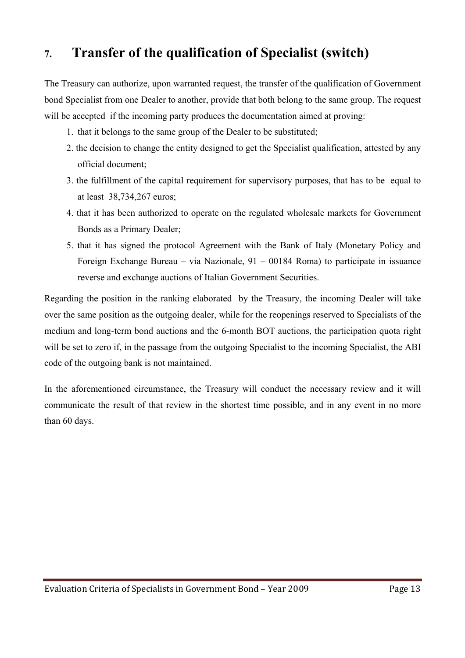# **7. Transfer of the qualification of Specialist (switch)**

The Treasury can authorize, upon warranted request, the transfer of the qualification of Government bond Specialist from one Dealer to another, provide that both belong to the same group. The request will be accepted if the incoming party produces the documentation aimed at proving:

- 1. that it belongs to the same group of the Dealer to be substituted;
- 2. the decision to change the entity designed to get the Specialist qualification, attested by any official document;
- 3. the fulfillment of the capital requirement for supervisory purposes, that has to be equal to at least 38,734,267 euros;
- 4. that it has been authorized to operate on the regulated wholesale markets for Government Bonds as a Primary Dealer;
- 5. that it has signed the protocol Agreement with the Bank of Italy (Monetary Policy and Foreign Exchange Bureau – via Nazionale, 91 – 00184 Roma) to participate in issuance reverse and exchange auctions of Italian Government Securities.

Regarding the position in the ranking elaborated by the Treasury, the incoming Dealer will take over the same position as the outgoing dealer, while for the reopenings reserved to Specialists of the medium and long-term bond auctions and the 6-month BOT auctions, the participation quota right will be set to zero if, in the passage from the outgoing Specialist to the incoming Specialist, the ABI code of the outgoing bank is not maintained.

In the aforementioned circumstance, the Treasury will conduct the necessary review and it will communicate the result of that review in the shortest time possible, and in any event in no more than 60 days.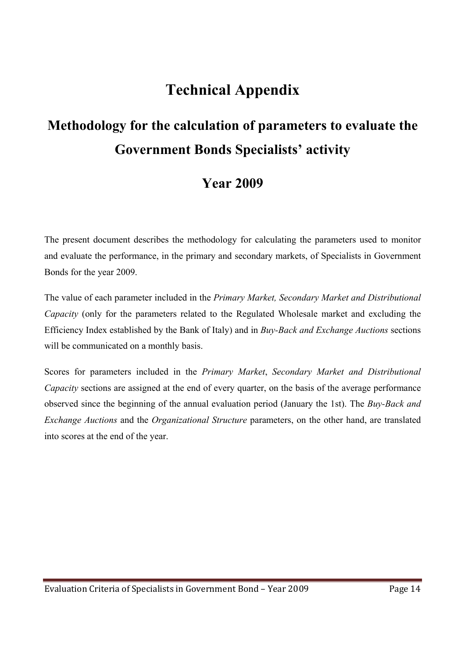# **Technical Appendix**

# **Methodology for the calculation of parameters to evaluate the Government Bonds Specialists' activity**

# **Year 2009**

The present document describes the methodology for calculating the parameters used to monitor and evaluate the performance, in the primary and secondary markets, of Specialists in Government Bonds for the year 2009.

The value of each parameter included in the *Primary Market, Secondary Market and Distributional Capacity* (only for the parameters related to the Regulated Wholesale market and excluding the Efficiency Index established by the Bank of Italy) and in *Buy-Back and Exchange Auctions* sections will be communicated on a monthly basis.

Scores for parameters included in the *Primary Market*, *Secondary Market and Distributional Capacity* sections are assigned at the end of every quarter, on the basis of the average performance observed since the beginning of the annual evaluation period (January the 1st). The *Buy-Back and Exchange Auctions* and the *Organizational Structure* parameters, on the other hand, are translated into scores at the end of the year.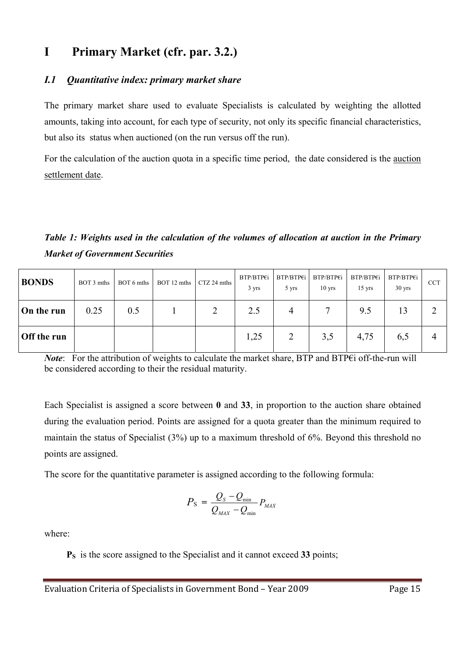### **I Primary Market (cfr. par. 3.2.)**

### *I.1 Quantitative index: primary market share*

The primary market share used to evaluate Specialists is calculated by weighting the allotted amounts, taking into account, for each type of security, not only its specific financial characteristics, but also its status when auctioned (on the run versus off the run).

For the calculation of the auction quota in a specific time period, the date considered is the auction settlement date.

*Table 1: Weights used in the calculation of the volumes of allocation at auction in the Primary Market of Government Securities* 

| <b>BONDS</b> | BOT 3 mths | BOT 6 mths | BOT 12 mths | CTZ 24 mths | BTP/BTP€i<br>3 yrs | BTP/BTP€i<br>5 yrs | BTP/BTP€i<br>$10$ yrs | BTP/BTP€i<br>$15 \text{ yrs}$ | BTP/BTP€i<br>$30$ yrs | <b>CCT</b> |
|--------------|------------|------------|-------------|-------------|--------------------|--------------------|-----------------------|-------------------------------|-----------------------|------------|
| On the run   | 0.25       | 0.5        |             | 2           | 2.5                | $\overline{4}$     |                       | 9.5                           | 13                    |            |
| Off the run  |            |            |             |             | 1,25               |                    | 3,5                   | 4,75                          | 6,5                   | 4          |

*Note*: For the attribution of weights to calculate the market share, BTP and BTP€i off-the-run will be considered according to their the residual maturity.

Each Specialist is assigned a score between **0** and **33**, in proportion to the auction share obtained during the evaluation period. Points are assigned for a quota greater than the minimum required to maintain the status of Specialist (3%) up to a maximum threshold of 6%. Beyond this threshold no points are assigned.

The score for the quantitative parameter is assigned according to the following formula:

$$
P_{\rm S} = \frac{Q_{\rm S} - Q_{\rm min}}{Q_{\rm MAX} - Q_{\rm min}} P_{\rm MAX}
$$

where:

**PS** is the score assigned to the Specialist and it cannot exceed **33** points;

Evaluation Criteria of Specialists in Government Bond – Year 2009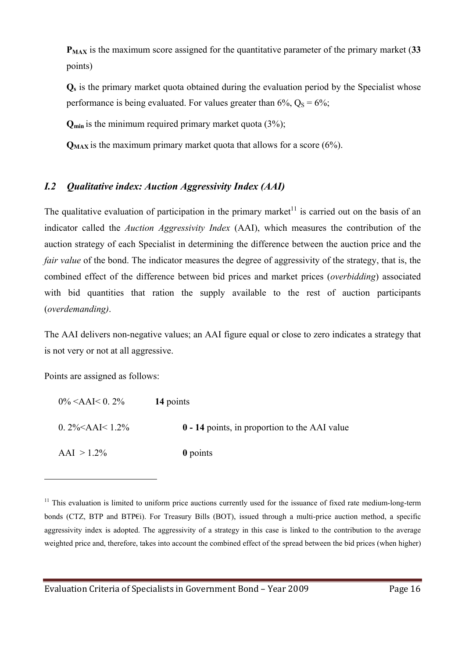**PMAX** is the maximum score assigned for the quantitative parameter of the primary market (**33** points)

**Qs** is the primary market quota obtained during the evaluation period by the Specialist whose performance is being evaluated. For values greater than  $6\%$ ,  $Q_s = 6\%$ ;

**Qmin** is the minimum required primary market quota (3%);

 $Q_{MAX}$  is the maximum primary market quota that allows for a score ( $6\%$ ).

### *I.2 Qualitative index: Auction Aggressivity Index (AAI)*

The qualitative evaluation of participation in the primary market<sup>11</sup> is carried out on the basis of an indicator called the *Auction Aggressivity Index* (AAI), which measures the contribution of the auction strategy of each Specialist in determining the difference between the auction price and the *fair value* of the bond. The indicator measures the degree of aggressivity of the strategy, that is, the combined effect of the difference between bid prices and market prices (*overbidding*) associated with bid quantities that ration the supply available to the rest of auction participants (*overdemanding)*.

The AAI delivers non-negative values; an AAI figure equal or close to zero indicates a strategy that is not very or not at all aggressive.

Points are assigned as follows:

| $0\%$ <aai< 0.="" 2%<="" th=""><th>14 points</th></aai<> | 14 points                                     |
|----------------------------------------------------------|-----------------------------------------------|
| 0. $2\% < AAI < 1.2\%$                                   | 0 - 14 points, in proportion to the AAI value |
| $AAI > 1.2\%$                                            | 0 points                                      |

 $11$  This evaluation is limited to uniform price auctions currently used for the issuance of fixed rate medium-long-term bonds (CTZ, BTP and BTPEi). For Treasury Bills (BOT), issued through a multi-price auction method, a specific aggressivity index is adopted. The aggressivity of a strategy in this case is linked to the contribution to the average weighted price and, therefore, takes into account the combined effect of the spread between the bid prices (when higher)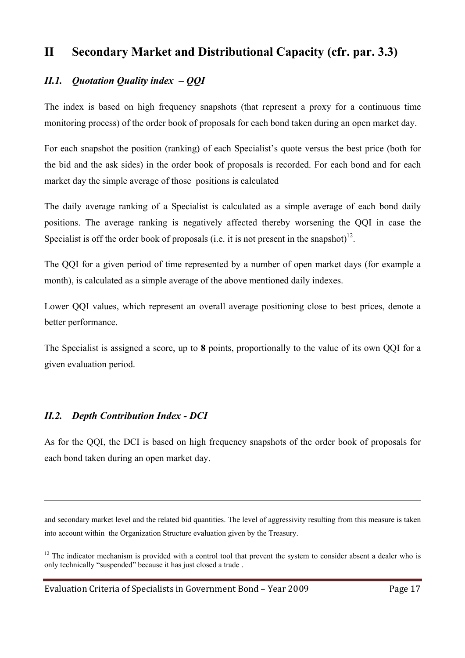### **II Secondary Market and Distributional Capacity (cfr. par. 3.3)**

### *II.1. Quotation Quality index – QQI*

The index is based on high frequency snapshots (that represent a proxy for a continuous time monitoring process) of the order book of proposals for each bond taken during an open market day.

For each snapshot the position (ranking) of each Specialist's quote versus the best price (both for the bid and the ask sides) in the order book of proposals is recorded. For each bond and for each market day the simple average of those positions is calculated

The daily average ranking of a Specialist is calculated as a simple average of each bond daily positions. The average ranking is negatively affected thereby worsening the QQI in case the Specialist is off the order book of proposals (i.e. it is not present in the snapshot)<sup>12</sup>.

The QQI for a given period of time represented by a number of open market days (for example a month), is calculated as a simple average of the above mentioned daily indexes.

Lower QQI values, which represent an overall average positioning close to best prices, denote a better performance.

The Specialist is assigned a score, up to **8** points, proportionally to the value of its own QQI for a given evaluation period.

### *II.2. Depth Contribution Index - DCI*

 $\overline{a}$ 

As for the QQI, the DCI is based on high frequency snapshots of the order book of proposals for each bond taken during an open market day.

and secondary market level and the related bid quantities. The level of aggressivity resulting from this measure is taken into account within the Organization Structure evaluation given by the Treasury.

 $12$  The indicator mechanism is provided with a control tool that prevent the system to consider absent a dealer who is only technically "suspended" because it has just closed a trade .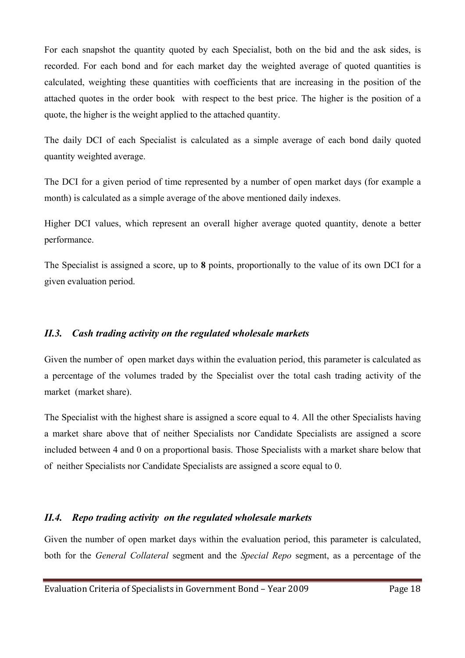For each snapshot the quantity quoted by each Specialist, both on the bid and the ask sides, is recorded. For each bond and for each market day the weighted average of quoted quantities is calculated, weighting these quantities with coefficients that are increasing in the position of the attached quotes in the order book with respect to the best price. The higher is the position of a quote, the higher is the weight applied to the attached quantity.

The daily DCI of each Specialist is calculated as a simple average of each bond daily quoted quantity weighted average.

The DCI for a given period of time represented by a number of open market days (for example a month) is calculated as a simple average of the above mentioned daily indexes.

Higher DCI values, which represent an overall higher average quoted quantity, denote a better performance.

The Specialist is assigned a score, up to **8** points, proportionally to the value of its own DCI for a given evaluation period.

#### *II.3. Cash trading activity on the regulated wholesale markets*

Given the number of open market days within the evaluation period, this parameter is calculated as a percentage of the volumes traded by the Specialist over the total cash trading activity of the market (market share).

The Specialist with the highest share is assigned a score equal to 4. All the other Specialists having a market share above that of neither Specialists nor Candidate Specialists are assigned a score included between 4 and 0 on a proportional basis. Those Specialists with a market share below that of neither Specialists nor Candidate Specialists are assigned a score equal to 0.

### *II.4. Repo trading activity on the regulated wholesale markets*

Given the number of open market days within the evaluation period, this parameter is calculated, both for the *General Collateral* segment and the *Special Repo* segment, as a percentage of the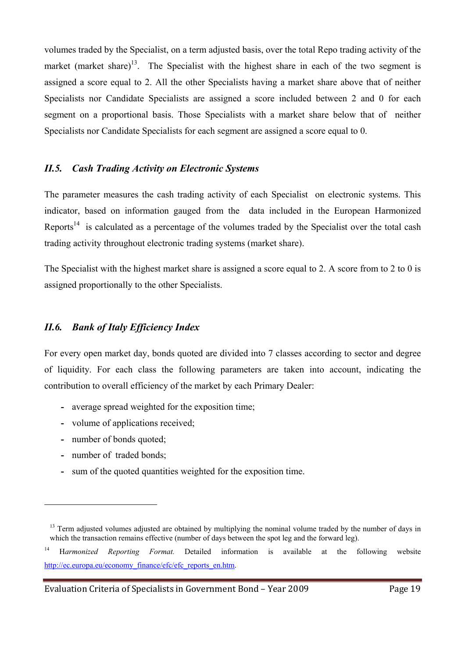volumes traded by the Specialist, on a term adjusted basis, over the total Repo trading activity of the market (market share)<sup>13</sup>. The Specialist with the highest share in each of the two segment is assigned a score equal to 2. All the other Specialists having a market share above that of neither Specialists nor Candidate Specialists are assigned a score included between 2 and 0 for each segment on a proportional basis. Those Specialists with a market share below that of neither Specialists nor Candidate Specialists for each segment are assigned a score equal to 0.

#### *II.5. Cash Trading Activity on Electronic Systems*

The parameter measures the cash trading activity of each Specialist on electronic systems. This indicator, based on information gauged from the data included in the European Harmonized Reports<sup>14</sup> is calculated as a percentage of the volumes traded by the Specialist over the total cash trading activity throughout electronic trading systems (market share).

The Specialist with the highest market share is assigned a score equal to 2. A score from to 2 to 0 is assigned proportionally to the other Specialists.

#### *II.6. Bank of Italy Efficiency Index*

For every open market day, bonds quoted are divided into 7 classes according to sector and degree of liquidity. For each class the following parameters are taken into account, indicating the contribution to overall efficiency of the market by each Primary Dealer:

- **-** average spread weighted for the exposition time;
- **-** volume of applications received;
- **-** number of bonds quoted;
- **-** number of traded bonds;

 $\overline{a}$ 

**-** sum of the quoted quantities weighted for the exposition time.

 $13$  Term adjusted volumes adjusted are obtained by multiplying the nominal volume traded by the number of days in which the transaction remains effective (number of days between the spot leg and the forward leg).

<sup>14</sup> H*armonized Reporting Format.* Detailed information is available at the following website http://ec.europa.eu/economy\_finance/efc/efc\_reports\_en.htm.